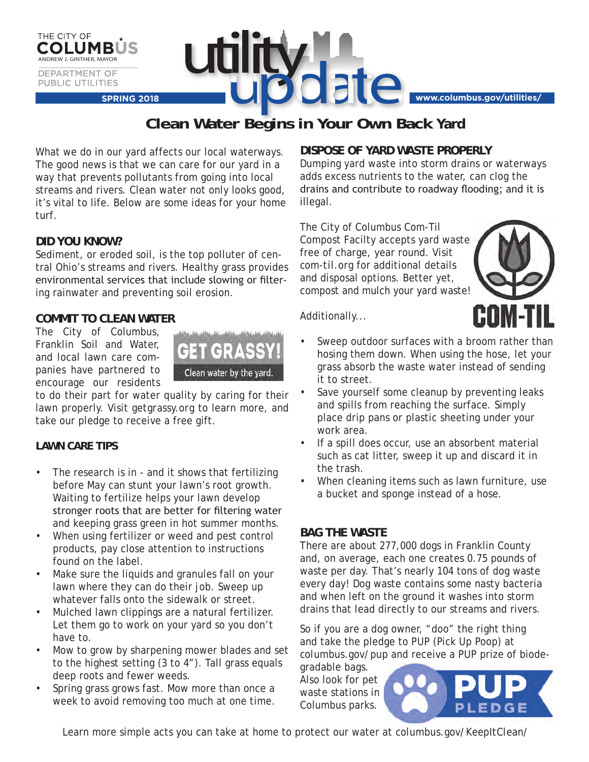

**Clean Water Begins in Your Own Back Yard**

What we do in our yard affects our local waterways. The good news is that we can care for our yard in a way that prevents pollutants from going into local streams and rivers. Clean water not only looks good, it's vital to life. Below are some ideas for your home turf.

## **DID YOU KNOW?**

THE CITY OF

Sediment, or eroded soil, is the top polluter of central Ohio's streams and rivers. Healthy grass provides environmental services that include slowing or filtering rainwater and preventing soil erosion.

## **COMMIT TO CLEAN WATER**

The City of Columbus, Franklin Soil and Water, and local lawn care companies have partnered to encourage our residents



to do their part for water quality by caring for their lawn properly. Visit *getgrassy.org* to learn more, and take our pledge to receive a free gift.

#### **LAWN CARE TIPS**

- The research is in and it shows that fertilizing before May can stunt your lawn's root growth. Waiting to fertilize helps your lawn develop stronger roots that are better for filtering water and keeping grass green in hot summer months.
- When using fertilizer or weed and pest control products, pay close attention to instructions found on the label.
- Make sure the liquids and granules fall on your lawn where they can do their job. Sweep up whatever falls onto the sidewalk or street.
- Mulched lawn clippings are a natural fertilizer. Let them go to work on your yard so you don't have to.
- Mow to grow by sharpening mower blades and set to the highest setting (3 to 4"). Tall grass equals deep roots and fewer weeds.
- Spring grass grows fast. Mow more than once a week to avoid removing too much at one time.

#### **DISPOSE OF YARD WASTE PROPERLY**

Dumping yard waste into storm drains or waterways adds excess nutrients to the water, can clog the drains and contribute to roadway flooding; and it is illegal.

The City of Columbus Com-Til Compost Facilty accepts yard waste free of charge, year round. Visit *com-til.org* for additional details and disposal options. Better yet, compost and mulch your yard waste!



Additionally...

- Sweep outdoor surfaces with a broom rather than hosing them down. When using the hose, let your grass absorb the waste water instead of sending it to street.
- Save yourself some cleanup by preventing leaks and spills from reaching the surface. Simply place drip pans or plastic sheeting under your work area.
- If a spill does occur, use an absorbent material such as cat litter, sweep it up and discard it in the trash.
- When cleaning items such as lawn furniture, use a bucket and sponge instead of a hose.

## **BAG THE WASTE**

There are about 277,000 dogs in Franklin County and, on average, each one creates 0.75 pounds of waste per day. That's nearly 104 tons of dog waste every day! Dog waste contains some nasty bacteria and when left on the ground it washes into storm drains that lead directly to our streams and rivers.

So if you are a dog owner, "doo" the right thing and take the pledge to PUP (Pick Up Poop) at *columbus.gov/pup* and receive a PUP prize of biode-

gradable bags. Also look for pet waste stations in Columbus parks.



Learn more simple acts you can take at home to protect our water at *columbus.gov/KeepItClean/*